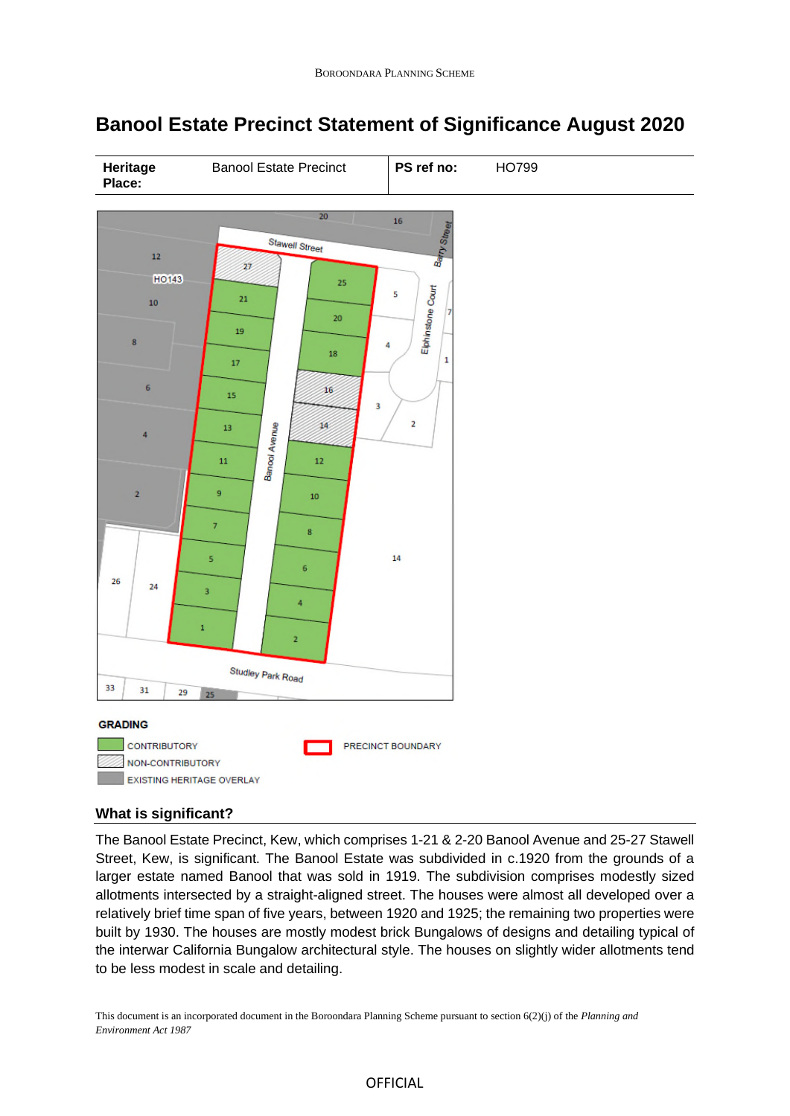

# **Banool Estate Precinct Statement of Significance August 2020**

# **What is significant?**

The Banool Estate Precinct, Kew, which comprises 1-21 & 2-20 Banool Avenue and 25-27 Stawell Street, Kew, is significant. The Banool Estate was subdivided in c.1920 from the grounds of a larger estate named Banool that was sold in 1919. The subdivision comprises modestly sized allotments intersected by a straight-aligned street. The houses were almost all developed over a relatively brief time span of five years, between 1920 and 1925; the remaining two properties were built by 1930. The houses are mostly modest brick Bungalows of designs and detailing typical of the interwar California Bungalow architectural style. The houses on slightly wider allotments tend to be less modest in scale and detailing.

This document is an incorporated document in the Boroondara Planning Scheme pursuant to section 6(2)(j) of the *Planning and Environment Act 1987*

### OFFICIAL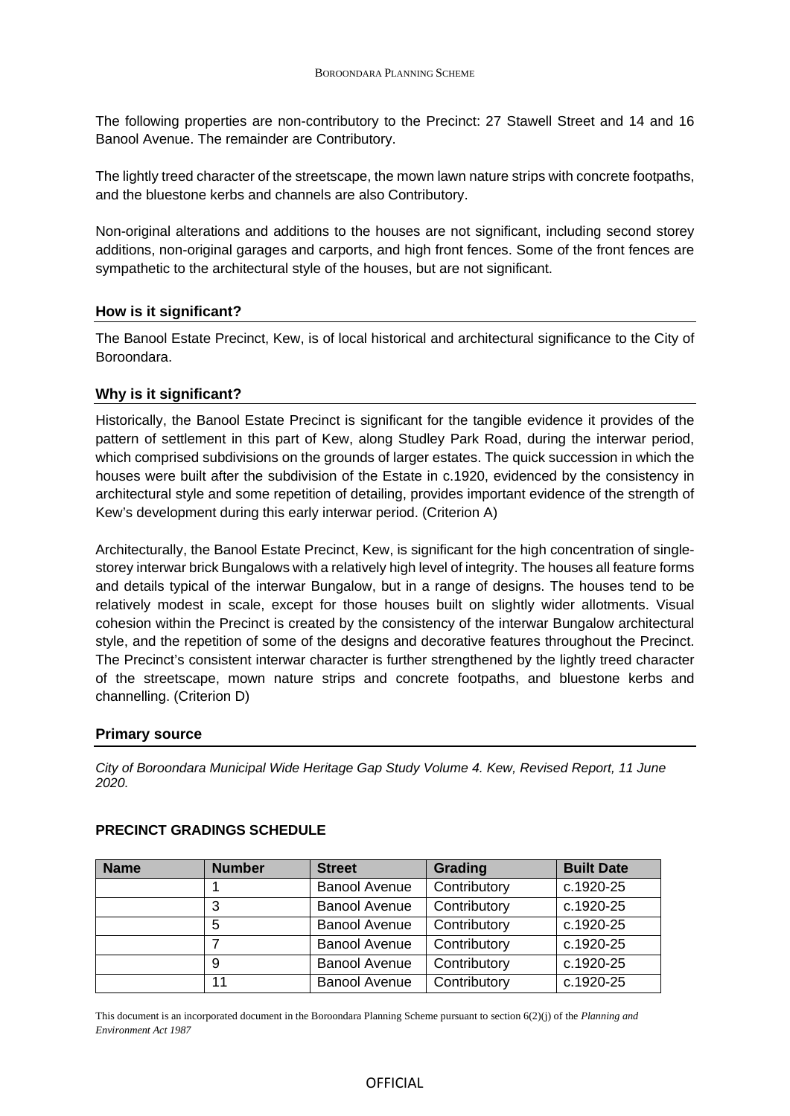The following properties are non-contributory to the Precinct: 27 Stawell Street and 14 and 16 Banool Avenue. The remainder are Contributory.

The lightly treed character of the streetscape, the mown lawn nature strips with concrete footpaths, and the bluestone kerbs and channels are also Contributory.

Non-original alterations and additions to the houses are not significant, including second storey additions, non-original garages and carports, and high front fences. Some of the front fences are sympathetic to the architectural style of the houses, but are not significant.

### **How is it significant?**

The Banool Estate Precinct, Kew, is of local historical and architectural significance to the City of Boroondara.

### **Why is it significant?**

Historically, the Banool Estate Precinct is significant for the tangible evidence it provides of the pattern of settlement in this part of Kew, along Studley Park Road, during the interwar period, which comprised subdivisions on the grounds of larger estates. The quick succession in which the houses were built after the subdivision of the Estate in c.1920, evidenced by the consistency in architectural style and some repetition of detailing, provides important evidence of the strength of Kew's development during this early interwar period. (Criterion A)

Architecturally, the Banool Estate Precinct, Kew, is significant for the high concentration of singlestorey interwar brick Bungalows with a relatively high level of integrity. The houses all feature forms and details typical of the interwar Bungalow, but in a range of designs. The houses tend to be relatively modest in scale, except for those houses built on slightly wider allotments. Visual cohesion within the Precinct is created by the consistency of the interwar Bungalow architectural style, and the repetition of some of the designs and decorative features throughout the Precinct. The Precinct's consistent interwar character is further strengthened by the lightly treed character of the streetscape, mown nature strips and concrete footpaths, and bluestone kerbs and channelling. (Criterion D)

#### **Primary source**

*City of Boroondara Municipal Wide Heritage Gap Study Volume 4. Kew, Revised Report, 11 June 2020.*

| <b>Name</b> | <b>Number</b> | <b>Street</b>        | Grading      | <b>Built Date</b> |
|-------------|---------------|----------------------|--------------|-------------------|
|             |               | <b>Banool Avenue</b> | Contributory | c.1920-25         |
|             |               | <b>Banool Avenue</b> | Contributory | c.1920-25         |
|             | 5             | <b>Banool Avenue</b> | Contributory | c.1920-25         |
|             |               | <b>Banool Avenue</b> | Contributory | c.1920-25         |
|             | 9             | <b>Banool Avenue</b> | Contributory | c.1920-25         |
|             | 11            | <b>Banool Avenue</b> | Contributory | c.1920-25         |

# **PRECINCT GRADINGS SCHEDULE**

This document is an incorporated document in the Boroondara Planning Scheme pursuant to section 6(2)(j) of the *Planning and Environment Act 1987*

### OFFICIAL